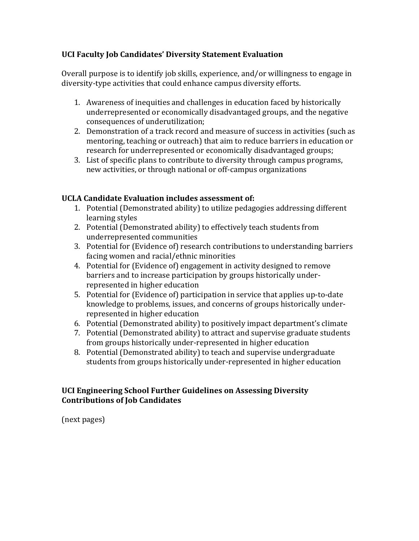### **UCI Faculty Job Candidates' Diversity Statement Evaluation**

Overall purpose is to identify job skills, experience, and/or willingness to engage in diversity-type activities that could enhance campus diversity efforts.

- 1. Awareness of inequities and challenges in education faced by historically underrepresented or economically disadvantaged groups, and the negative consequences of underutilization;
- 2. Demonstration of a track record and measure of success in activities (such as mentoring, teaching or outreach) that aim to reduce barriers in education or research for underrepresented or economically disadvantaged groups;
- 3. List of specific plans to contribute to diversity through campus programs, new activities, or through national or off-campus organizations

### UCLA Candidate Evaluation includes assessment of:

- 1. Potential (Demonstrated ability) to utilize pedagogies addressing different learning styles
- 2. Potential (Demonstrated ability) to effectively teach students from underrepresented communities
- 3. Potential for (Evidence of) research contributions to understanding barriers facing women and racial/ethnic minorities
- 4. Potential for (Evidence of) engagement in activity designed to remove barriers and to increase participation by groups historically underrepresented in higher education
- 5. Potential for (Evidence of) participation in service that applies up-to-date knowledge to problems, issues, and concerns of groups historically underrepresented in higher education
- 6. Potential (Demonstrated ability) to positively impact department's climate
- 7. Potential (Demonstrated ability) to attract and supervise graduate students from groups historically under-represented in higher education
- 8. Potential (Demonstrated ability) to teach and supervise undergraduate students from groups historically under-represented in higher education

### **UCI Engineering School Further Guidelines on Assessing Diversity Contributions of Job Candidates**

(next pages)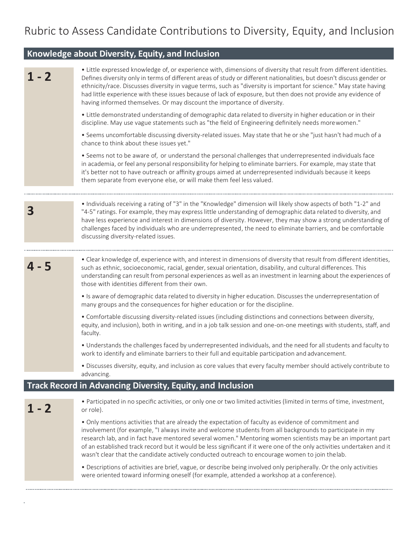# Rubric to Assess Candidate Contributions to Diversity, Equity, and Inclusion

## **Knowledge about Diversity, Equity, and Inclusion**

à,

| $1 - 2$ | • Little expressed knowledge of, or experience with, dimensions of diversity that result from different identities.<br>Defines diversity only in terms of different areas of study or different nationalities, but doesn't discuss gender or<br>ethnicity/race. Discusses diversity in vague terms, such as "diversity is important for science." May state having<br>had little experience with these issues because of lack of exposure, but then does not provide any evidence of<br>having informed themselves. Or may discount the importance of diversity. |  |  |  |  |  |  |
|---------|------------------------------------------------------------------------------------------------------------------------------------------------------------------------------------------------------------------------------------------------------------------------------------------------------------------------------------------------------------------------------------------------------------------------------------------------------------------------------------------------------------------------------------------------------------------|--|--|--|--|--|--|
|         | • Little demonstrated understanding of demographic data related to diversity in higher education or in their<br>discipline. May use vague statements such as "the field of Engineering definitely needs morewomen."                                                                                                                                                                                                                                                                                                                                              |  |  |  |  |  |  |
|         | . Seems uncomfortable discussing diversity-related issues. May state that he or she "just hasn't had much of a<br>chance to think about these issues yet."                                                                                                                                                                                                                                                                                                                                                                                                       |  |  |  |  |  |  |
|         | • Seems not to be aware of, or understand the personal challenges that underrepresented individuals face<br>in academia, or feel any personal responsibility for helping to eliminate barriers. For example, may state that<br>it's better not to have outreach or affinity groups aimed at underrepresented individuals because it keeps<br>them separate from everyone else, or will make them feel less valued.                                                                                                                                               |  |  |  |  |  |  |
| 3       | • Individuals receiving a rating of "3" in the "Knowledge" dimension will likely show aspects of both "1-2" and<br>"4-5" ratings. For example, they may express little understanding of demographic data related to diversity, and<br>have less experience and interest in dimensions of diversity. However, they may show a strong understanding of<br>challenges faced by individuals who are underrepresented, the need to eliminate barriers, and be comfortable<br>discussing diversity-related issues.                                                     |  |  |  |  |  |  |
| 4 - 5   | • Clear knowledge of, experience with, and interest in dimensions of diversity that result from different identities,<br>such as ethnic, socioeconomic, racial, gender, sexual orientation, disability, and cultural differences. This<br>understanding can result from personal experiences as well as an investment in learning about the experiences of<br>those with identities different from their own.                                                                                                                                                    |  |  |  |  |  |  |
|         | • Is aware of demographic data related to diversity in higher education. Discusses the underrepresentation of<br>many groups and the consequences for higher education or for the discipline.                                                                                                                                                                                                                                                                                                                                                                    |  |  |  |  |  |  |
|         | • Comfortable discussing diversity-related issues (including distinctions and connections between diversity,<br>equity, and inclusion), both in writing, and in a job talk session and one-on-one meetings with students, staff, and<br>faculty.                                                                                                                                                                                                                                                                                                                 |  |  |  |  |  |  |
|         | . Understands the challenges faced by underrepresented individuals, and the need for all students and faculty to<br>work to identify and eliminate barriers to their full and equitable participation and advancement.                                                                                                                                                                                                                                                                                                                                           |  |  |  |  |  |  |
|         | . Discusses diversity, equity, and inclusion as core values that every faculty member should actively contribute to<br>advancing.                                                                                                                                                                                                                                                                                                                                                                                                                                |  |  |  |  |  |  |
|         | Track Record in Advancing Diversity, Equity, and Inclusion                                                                                                                                                                                                                                                                                                                                                                                                                                                                                                       |  |  |  |  |  |  |
| $1 - 2$ | • Participated in no specific activities, or only one or two limited activities (limited in terms of time, investment,<br>or role).                                                                                                                                                                                                                                                                                                                                                                                                                              |  |  |  |  |  |  |
|         | . Only mentions activities that are already the expectation of faculty as evidence of commitment and<br>involvement (for example, "I always invite and welcome students from all backgrounds to participate in my<br>research lab, and in fact have mentored several women." Mentoring women scientists may be an important part<br>of an established track record but it would be less significant if it were one of the only activities undertaken and it<br>wasn't clear that the candidate actively conducted outreach to encourage women to join thelab.    |  |  |  |  |  |  |
|         | • Descriptions of activities are brief, vague, or describe being involved only peripherally. Or the only activities<br>were oriented toward informing oneself (for example, attended a workshop at a conference).                                                                                                                                                                                                                                                                                                                                                |  |  |  |  |  |  |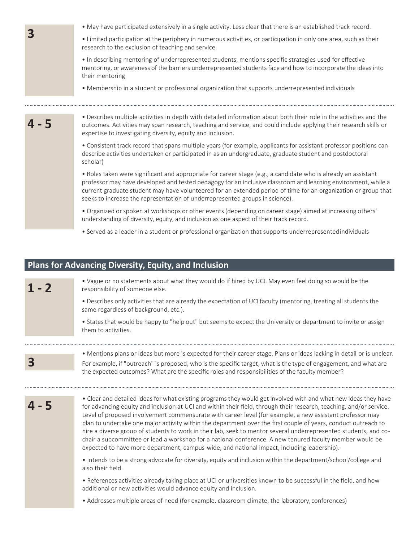|         | • May have participated extensively in a single activity. Less clear that there is an established track record.                                                                                                                                                                                                                                                                                                                                                                                                                                                                          |  |  |  |  |  |  |  |
|---------|------------------------------------------------------------------------------------------------------------------------------------------------------------------------------------------------------------------------------------------------------------------------------------------------------------------------------------------------------------------------------------------------------------------------------------------------------------------------------------------------------------------------------------------------------------------------------------------|--|--|--|--|--|--|--|
| 3       | • Limited participation at the periphery in numerous activities, or participation in only one area, such as their<br>research to the exclusion of teaching and service.                                                                                                                                                                                                                                                                                                                                                                                                                  |  |  |  |  |  |  |  |
|         | . In describing mentoring of underrepresented students, mentions specific strategies used for effective<br>mentoring, or awareness of the barriers underrepresented students face and how to incorporate the ideas into<br>their mentoring                                                                                                                                                                                                                                                                                                                                               |  |  |  |  |  |  |  |
|         | • Membership in a student or professional organization that supports underrepresented individuals                                                                                                                                                                                                                                                                                                                                                                                                                                                                                        |  |  |  |  |  |  |  |
| - 5     | . Describes multiple activities in depth with detailed information about both their role in the activities and the<br>outcomes. Activities may span research, teaching and service, and could include applying their research skills or<br>expertise to investigating diversity, equity and inclusion.                                                                                                                                                                                                                                                                                   |  |  |  |  |  |  |  |
|         | • Consistent track record that spans multiple years (for example, applicants for assistant professor positions can<br>describe activities undertaken or participated in as an undergraduate, graduate student and postdoctoral<br>scholar)                                                                                                                                                                                                                                                                                                                                               |  |  |  |  |  |  |  |
|         | • Roles taken were significant and appropriate for career stage (e.g., a candidate who is already an assistant<br>professor may have developed and tested pedagogy for an inclusive classroom and learning environment, while a<br>current graduate student may have volunteered for an extended period of time for an organization or group that<br>seeks to increase the representation of underrepresented groups in science).                                                                                                                                                        |  |  |  |  |  |  |  |
|         | • Organized or spoken at workshops or other events (depending on career stage) aimed at increasing others'<br>understanding of diversity, equity, and inclusion as one aspect of their track record.                                                                                                                                                                                                                                                                                                                                                                                     |  |  |  |  |  |  |  |
|         | • Served as a leader in a student or professional organization that supports underrepresented individuals                                                                                                                                                                                                                                                                                                                                                                                                                                                                                |  |  |  |  |  |  |  |
|         |                                                                                                                                                                                                                                                                                                                                                                                                                                                                                                                                                                                          |  |  |  |  |  |  |  |
|         | <b>Plans for Advancing Diversity, Equity, and Inclusion</b>                                                                                                                                                                                                                                                                                                                                                                                                                                                                                                                              |  |  |  |  |  |  |  |
| $1 - 2$ | . Vague or no statements about what they would do if hired by UCI. May even feel doing so would be the<br>responsibility of someone else.                                                                                                                                                                                                                                                                                                                                                                                                                                                |  |  |  |  |  |  |  |
|         | . Describes only activities that are already the expectation of UCI faculty (mentoring, treating all students the<br>same regardless of background, etc.).                                                                                                                                                                                                                                                                                                                                                                                                                               |  |  |  |  |  |  |  |
|         | • States that would be happy to "help out" but seems to expect the University or department to invite or assign<br>them to activities.                                                                                                                                                                                                                                                                                                                                                                                                                                                   |  |  |  |  |  |  |  |
|         | • Mentions plans or ideas but more is expected for their career stage. Plans or ideas lacking in detail or is unclear.                                                                                                                                                                                                                                                                                                                                                                                                                                                                   |  |  |  |  |  |  |  |
| 3       | For example, if "outreach" is proposed, who is the specific target, what is the type of engagement, and what are<br>the expected outcomes? What are the specific roles and responsibilities of the faculty member?                                                                                                                                                                                                                                                                                                                                                                       |  |  |  |  |  |  |  |
|         | • Clear and detailed ideas for what existing programs they would get involved with and what new ideas they have<br>for advancing equity and inclusion at UCI and within their field, through their research, teaching, and/or service.<br>Level of proposed involvement commensurate with career level (for example, a new assistant professor may<br>plan to undertake one major activity within the department over the first couple of years, conduct outreach to<br>hire a diverse group of students to work in their lab, seek to mentor several underrepresented students, and co- |  |  |  |  |  |  |  |

• Intends to be a strong advocate for diversity, equity and inclusion within the department/school/college and also their field.

chair a subcommittee or lead a workshop for a national conference. A new tenured faculty member would be

• References activities already taking place at UCI or universities known to be successful in the field, and how additional or new activities would advance equity and inclusion.

• Addresses multiple areas of need (for example, classroom climate, the laboratory,conferences)

expected to have more department, campus-wide, and national impact, including leadership).